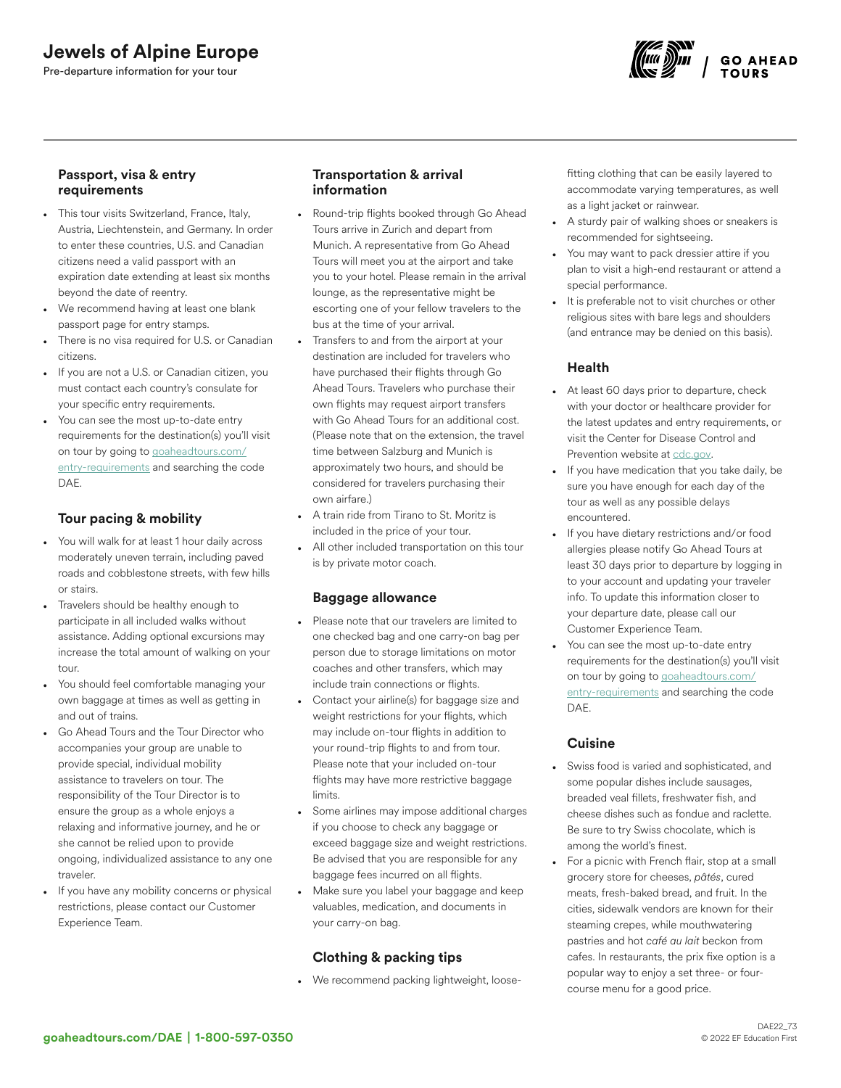# Jewels of Alpine Europe

Pre-departure information for your tour



### Passport, visa & entry requirements

- This tour visits Switzerland, France, Italy, Austria, Liechtenstein, and Germany. In order to enter these countries, U.S. and Canadian citizens need a valid passport with an expiration date extending at least six months beyond the date of reentry.
- We recommend having at least one blank passport page for entry stamps.
- There is no visa required for U.S. or Canadian citizens.
- If you are not a U.S. or Canadian citizen, you must contact each country's consulate for your specific entry requirements.
- You can see the most up-to-date entry requirements for the destination(s) you'll visit on tour by going to [goaheadtours.com/](/entry-requirements?tourCode=DAE) [entry-requirements](/entry-requirements?tourCode=DAE) and searching the code DAE.

## Tour pacing & mobility

- You will walk for at least 1 hour daily across moderately uneven terrain, including paved roads and cobblestone streets, with few hills or stairs.
- Travelers should be healthy enough to participate in all included walks without assistance. Adding optional excursions may increase the total amount of walking on your tour.
- You should feel comfortable managing your own baggage at times as well as getting in and out of trains.
- Go Ahead Tours and the Tour Director who accompanies your group are unable to provide special, individual mobility assistance to travelers on tour. The responsibility of the Tour Director is to ensure the group as a whole enjoys a relaxing and informative journey, and he or she cannot be relied upon to provide ongoing, individualized assistance to any one traveler.
- If you have any mobility concerns or physical restrictions, please contact our Customer Experience Team.

### Transportation & arrival information

- Round-trip flights booked through Go Ahead Tours arrive in Zurich and depart from Munich. A representative from Go Ahead Tours will meet you at the airport and take you to your hotel. Please remain in the arrival lounge, as the representative might be escorting one of your fellow travelers to the bus at the time of your arrival.
- Transfers to and from the airport at your destination are included for travelers who have purchased their flights through Go Ahead Tours. Travelers who purchase their own flights may request airport transfers with Go Ahead Tours for an additional cost. (Please note that on the extension, the travel time between Salzburg and Munich is approximately two hours, and should be considered for travelers purchasing their own airfare.)
- A train ride from Tirano to St. Moritz is included in the price of your tour.
- All other included transportation on this tour is by private motor coach.

### Baggage allowance

- Please note that our travelers are limited to one checked bag and one carry-on bag per person due to storage limitations on motor coaches and other transfers, which may include train connections or flights.
- Contact your airline(s) for baggage size and weight restrictions for your flights, which may include on-tour flights in addition to your round-trip flights to and from tour. Please note that your included on-tour flights may have more restrictive baggage limits.
- Some airlines may impose additional charges if you choose to check any baggage or exceed baggage size and weight restrictions. Be advised that you are responsible for any baggage fees incurred on all flights.
- Make sure you label your baggage and keep valuables, medication, and documents in your carry-on bag.

## Clothing & packing tips

• We recommend packing lightweight, loose-

fitting clothing that can be easily layered to accommodate varying temperatures, as well as a light jacket or rainwear.

- A sturdy pair of walking shoes or sneakers is recommended for sightseeing.
- You may want to pack dressier attire if you plan to visit a high-end restaurant or attend a special performance.
- It is preferable not to visit churches or other religious sites with bare legs and shoulders (and entrance may be denied on this basis).

## Health

- At least 60 days prior to departure, check with your doctor or healthcare provider for the latest updates and entry requirements, or visit the Center for Disease Control and Prevention website at [cdc.gov.](https://www.cdc.gov/)
- If you have medication that you take daily, be sure you have enough for each day of the tour as well as any possible delays encountered.
- If you have dietary restrictions and/or food allergies please notify Go Ahead Tours at least 30 days prior to departure by logging in to your account and updating your traveler info. To update this information closer to your departure date, please call our Customer Experience Team.
- You can see the most up-to-date entry requirements for the destination(s) you'll visit on tour by going to [goaheadtours.com/](/entry-requirements?tourCode=DAE) [entry-requirements](/entry-requirements?tourCode=DAE) and searching the code DAE.

## **Cuisine**

- Swiss food is varied and sophisticated, and some popular dishes include sausages, breaded veal fillets, freshwater fish, and cheese dishes such as fondue and raclette. Be sure to try Swiss chocolate, which is among the world's finest.
- For a picnic with French flair, stop at a small grocery store for cheeses, *pâtés*, cured meats, fresh-baked bread, and fruit. In the cities, sidewalk vendors are known for their steaming crepes, while mouthwatering pastries and hot *café au lait* beckon from cafes. In restaurants, the prix fixe option is a popular way to enjoy a set three- or fourcourse menu for a good price.